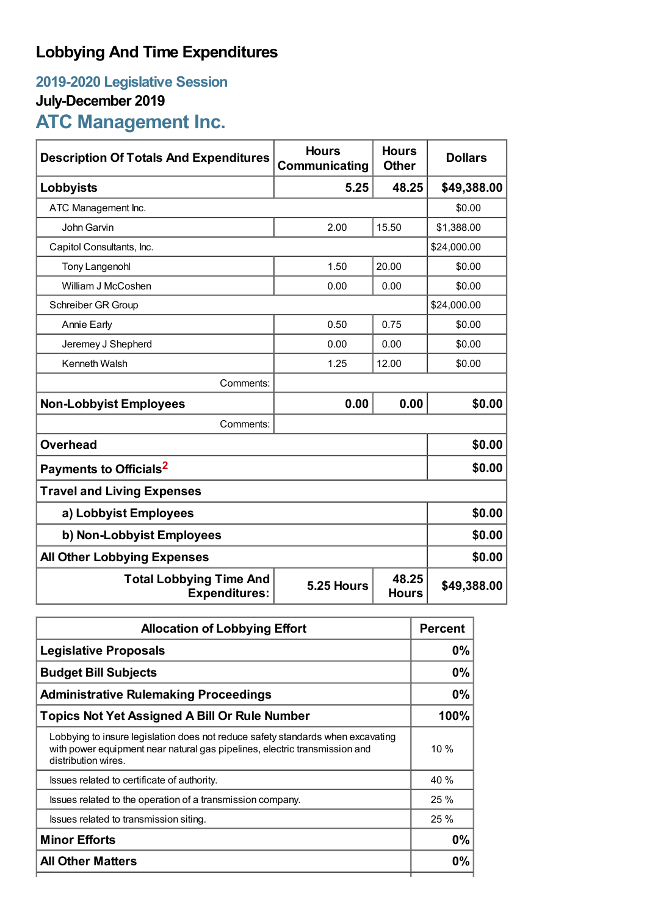# **Lobbying And Time Expenditures**

# **2019-2020 Legislative Session**

# **July-December 2019**

# **ATC Management Inc.**

| <b>Description Of Totals And Expenditures</b>          | <b>Hours</b><br>Communicating | <b>Hours</b><br><b>Other</b> | <b>Dollars</b> |  |
|--------------------------------------------------------|-------------------------------|------------------------------|----------------|--|
| Lobbyists                                              | 5.25                          | 48.25                        | \$49,388.00    |  |
| ATC Management Inc.                                    |                               |                              | \$0.00         |  |
| John Garvin                                            | 2.00                          | 15.50                        | \$1,388.00     |  |
| Capitol Consultants, Inc.                              |                               |                              | \$24,000.00    |  |
| <b>Tony Langenohl</b>                                  | 1.50                          | 20.00                        | \$0.00         |  |
| William J McCoshen                                     | 0.00                          | 0.00                         | \$0.00         |  |
| Schreiber GR Group                                     |                               |                              | \$24,000.00    |  |
| <b>Annie Early</b>                                     | 0.50                          | 0.75                         | \$0.00         |  |
| Jeremey J Shepherd                                     | 0.00                          | 0.00                         | \$0.00         |  |
| Kenneth Walsh                                          | 1.25                          | 12.00                        | \$0.00         |  |
| Comments:                                              |                               |                              |                |  |
| <b>Non-Lobbyist Employees</b>                          | 0.00                          | 0.00                         | \$0.00         |  |
| Comments:                                              |                               |                              |                |  |
| <b>Overhead</b>                                        |                               |                              | \$0.00         |  |
| Payments to Officials <sup>2</sup>                     |                               |                              | \$0.00         |  |
| <b>Travel and Living Expenses</b>                      |                               |                              |                |  |
| a) Lobbyist Employees                                  |                               |                              | \$0.00         |  |
| b) Non-Lobbyist Employees                              | \$0.00                        |                              |                |  |
| <b>All Other Lobbying Expenses</b>                     | \$0.00                        |                              |                |  |
| <b>Total Lobbying Time And</b><br><b>Expenditures:</b> | 5.25 Hours                    | 48.25<br><b>Hours</b>        | \$49,388.00    |  |

| <b>Allocation of Lobbying Effort</b>                                                                                                                                                 |        |
|--------------------------------------------------------------------------------------------------------------------------------------------------------------------------------------|--------|
| <b>Legislative Proposals</b>                                                                                                                                                         | 0%     |
| <b>Budget Bill Subjects</b>                                                                                                                                                          | 0%     |
| <b>Administrative Rulemaking Proceedings</b>                                                                                                                                         |        |
| <b>Topics Not Yet Assigned A Bill Or Rule Number</b>                                                                                                                                 | 100%   |
| Lobbying to insure legislation does not reduce safety standards when excavating<br>with power equipment near natural gas pipelines, electric transmission and<br>distribution wires. | $10\%$ |
| Issues related to certificate of authority.                                                                                                                                          | 40 %   |
| Issues related to the operation of a transmission company.                                                                                                                           | 25%    |
| Issues related to transmission siting.                                                                                                                                               | 25 %   |
| <b>Minor Efforts</b>                                                                                                                                                                 | 0%     |
| <b>All Other Matters</b>                                                                                                                                                             | 0%     |